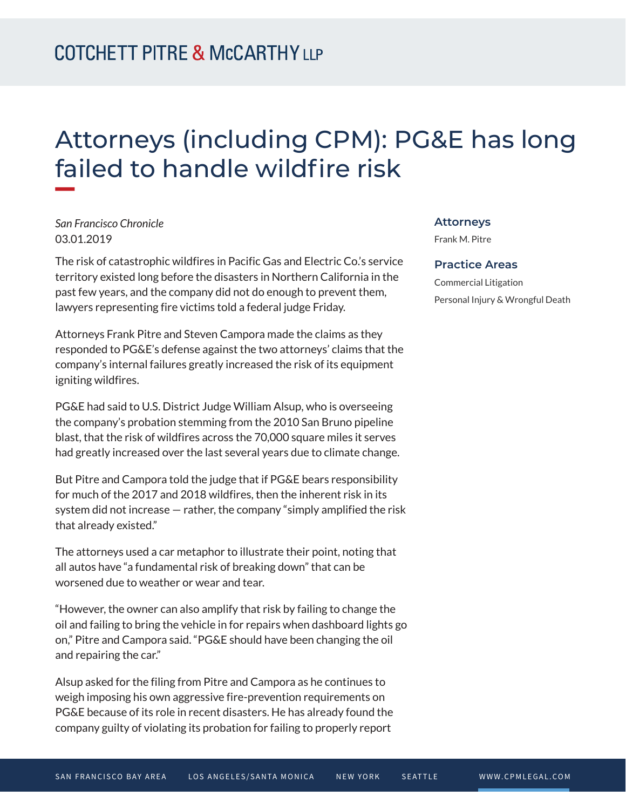## Attorneys (including CPM): PG&E has long failed to handle wildfire risk

*San Francisco Chronicle* 03.01.2019

**William** 

The risk of catastrophic wildfires in Pacific Gas and Electric Co.'s service territory existed long before the disasters in Northern California in the past few years, and the company did not do enough to prevent them, lawyers representing fire victims told a federal judge Friday.

Attorneys Frank Pitre and Steven Campora made the claims as they responded to PG&E's defense against the two attorneys' claims that the company's internal failures greatly increased the risk of its equipment igniting wildfires.

PG&E had said to U.S. District Judge William Alsup, who is overseeing the company's probation stemming from the 2010 San Bruno pipeline blast, that the risk of wildfires across the 70,000 square miles it serves had greatly increased over the last several years due to climate change.

But Pitre and Campora told the judge that if PG&E bears responsibility for much of the 2017 and 2018 wildfires, then the inherent risk in its system did not increase — rather, the company "simply amplified the risk that already existed."

The attorneys used a car metaphor to illustrate their point, noting that all autos have "a fundamental risk of breaking down" that can be worsened due to weather or wear and tear.

"However, the owner can also amplify that risk by failing to change the oil and failing to bring the vehicle in for repairs when dashboard lights go on," Pitre and Campora said. "PG&E should have been changing the oil and repairing the car."

Alsup asked for the filing from Pitre and Campora as he continues to weigh imposing his own aggressive fire-prevention requirements on PG&E because of its role in recent disasters. He has already found the company guilty of violating its probation for failing to properly report

## **Attorneys**

Frank M. Pitre

## **Practice Areas**

Commercial Litigation Personal Injury & Wrongful Death